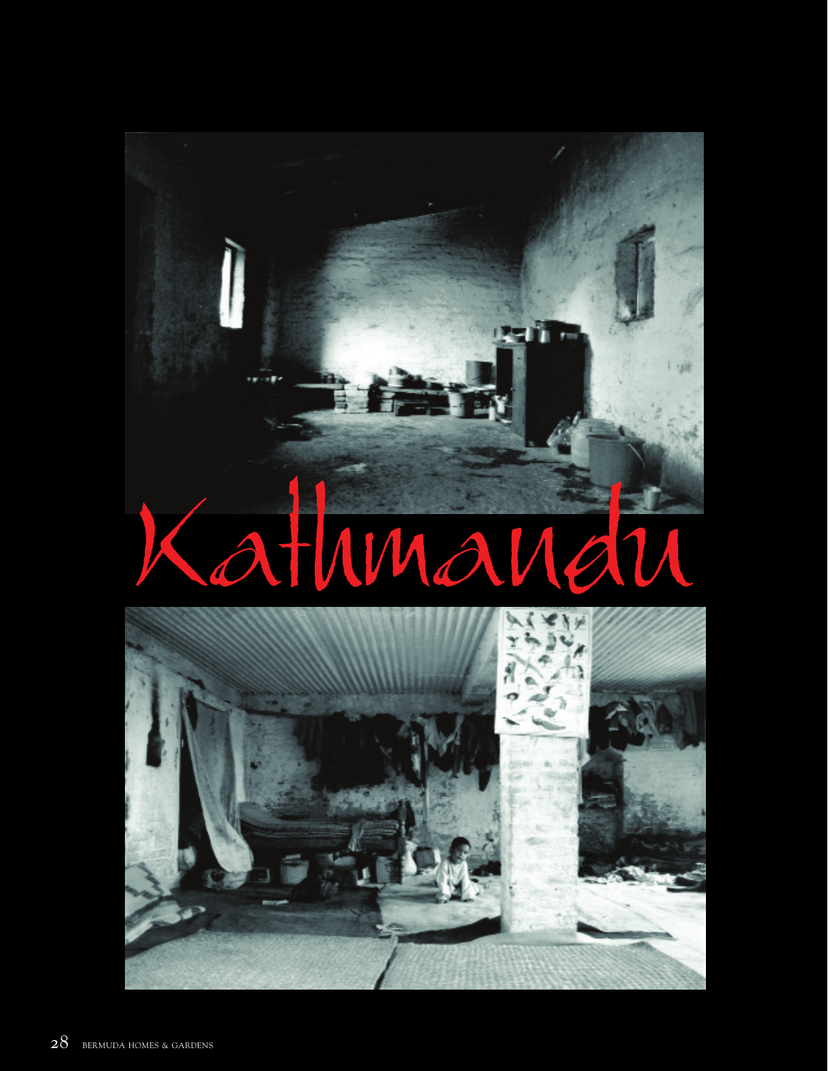## Kathmandu

аñ

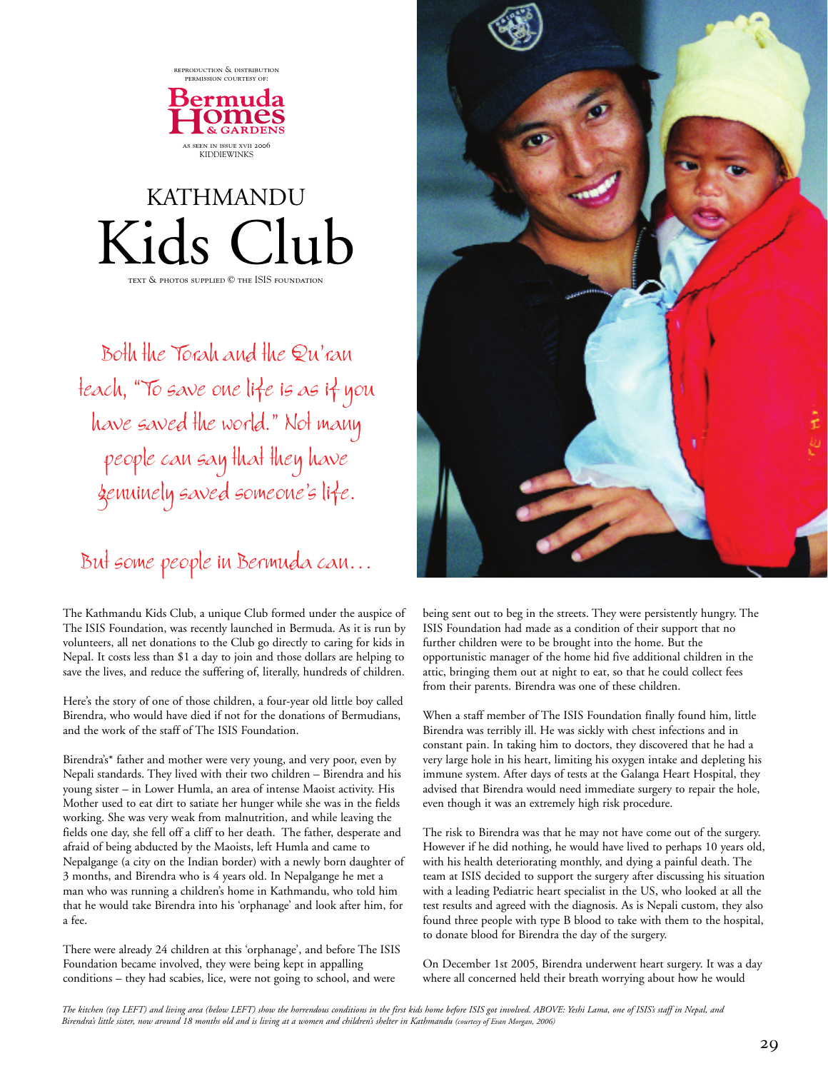reproduction & distribution permission courtesy of:



KATHMANDU Kids Clu text & photos supplied © the ISIS foundation

Both the Torah and the Qu'ran teach, "To save one life is as if you have saved the world." Not many people can say that they have genuinely saved someone's life.

## But some people in Bermuda can…

The Kathmandu Kids Club, a unique Club formed under the auspice of The ISIS Foundation, was recently launched in Bermuda. As it is run by volunteers, all net donations to the Club go directly to caring for kids in Nepal. It costs less than \$1 a day to join and those dollars are helping to save the lives, and reduce the suffering of, literally, hundreds of children.

Here's the story of one of those children, a four-year old little boy called Birendra, who would have died if not for the donations of Bermudians, and the work of the staff of The ISIS Foundation.

Birendra's\* father and mother were very young, and very poor, even by Nepali standards. They lived with their two children – Birendra and his young sister – in Lower Humla, an area of intense Maoist activity. His Mother used to eat dirt to satiate her hunger while she was in the fields working. She was very weak from malnutrition, and while leaving the fields one day, she fell off a cliff to her death. The father, desperate and afraid of being abducted by the Maoists, left Humla and came to Nepalgange (a city on the Indian border) with a newly born daughter of 3 months, and Birendra who is 4 years old. In Nepalgange he met a man who was running a children's home in Kathmandu, who told him that he would take Birendra into his 'orphanage' and look after him, for a fee.

There were already 24 children at this 'orphanage', and before The ISIS Foundation became involved, they were being kept in appalling conditions – they had scabies, lice, were not going to school, and were



being sent out to beg in the streets. They were persistently hungry. The ISIS Foundation had made as a condition of their support that no further children were to be brought into the home. But the opportunistic manager of the home hid five additional children in the attic, bringing them out at night to eat, so that he could collect fees from their parents. Birendra was one of these children.

When a staff member of The ISIS Foundation finally found him, little Birendra was terribly ill. He was sickly with chest infections and in constant pain. In taking him to doctors, they discovered that he had a very large hole in his heart, limiting his oxygen intake and depleting his immune system. After days of tests at the Galanga Heart Hospital, they advised that Birendra would need immediate surgery to repair the hole, even though it was an extremely high risk procedure.

The risk to Birendra was that he may not have come out of the surgery. However if he did nothing, he would have lived to perhaps 10 years old, with his health deteriorating monthly, and dying a painful death. The team at ISIS decided to support the surgery after discussing his situation with a leading Pediatric heart specialist in the US, who looked at all the test results and agreed with the diagnosis. As is Nepali custom, they also found three people with type B blood to take with them to the hospital, to donate blood for Birendra the day of the surgery.

On December 1st 2005, Birendra underwent heart surgery. It was a day where all concerned held their breath worrying about how he would

*The kitchen (top LEFT) and living area (below LEFT) show the horrendous conditions in the first kids home before ISIS got involved. ABOVE: Yeshi Lama, one of ISIS's staff in Nepal, and Birendra's little sister, now around 18 months old and is living at a women and children's shelter in Kathmandu (courtesy of Evan Morgan, 2006)*